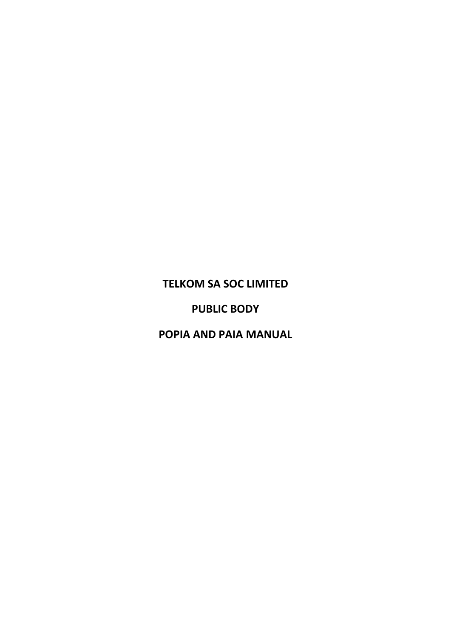# **TELKOM SA SOC LIMITED**

# **PUBLIC BODY**

# **POPIA AND PAIA MANUAL**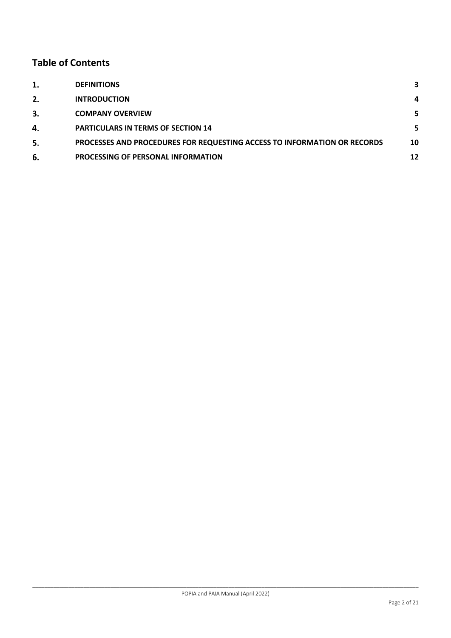# **Table of Contents**

| 1. | <b>DEFINITIONS</b>                                                       | 3  |
|----|--------------------------------------------------------------------------|----|
| 2. | <b>INTRODUCTION</b>                                                      | 4  |
| 3. | <b>COMPANY OVERVIEW</b>                                                  | 5. |
| 4. | <b>PARTICULARS IN TERMS OF SECTION 14</b>                                | 5. |
| 5. | PROCESSES AND PROCEDURES FOR REQUESTING ACCESS TO INFORMATION OR RECORDS | 10 |
| 6. | <b>PROCESSING OF PERSONAL INFORMATION</b>                                | 12 |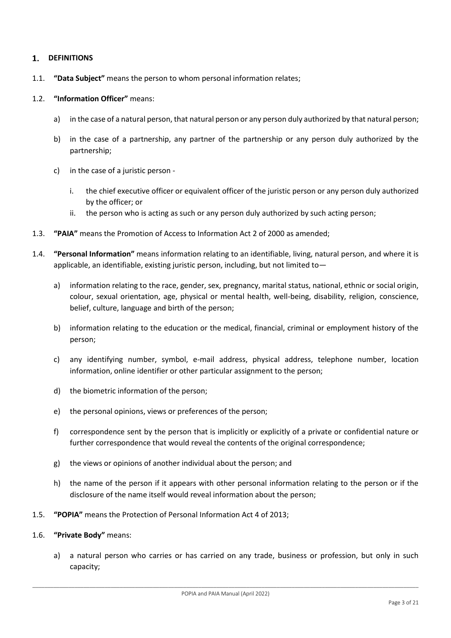#### <span id="page-2-0"></span> $\mathbf{1}$ . **DEFINITIONS**

1.1. **"Data Subject"** means the person to whom personal information relates;

### 1.2. **"Information Officer"** means:

- a) in the case of a natural person, that natural person or any person duly authorized by that natural person;
- b) in the case of a partnership, any partner of the partnership or any person duly authorized by the partnership;
- c) in the case of a juristic person
	- i. the chief executive officer or equivalent officer of the juristic person or any person duly authorized by the officer; or
	- ii. the person who is acting as such or any person duly authorized by such acting person;
- 1.3. **"PAIA"** means the Promotion of Access to Information Act 2 of 2000 as amended;
- 1.4. **"Personal Information"** means information relating to an identifiable, living, natural person, and where it is applicable, an identifiable, existing juristic person, including, but not limited to
	- a) information relating to the race, gender, sex, pregnancy, marital status, national, ethnic or social origin, colour, sexual orientation, age, physical or mental health, well-being, disability, religion, conscience, belief, culture, language and birth of the person;
	- b) information relating to the education or the medical, financial, criminal or employment history of the person;
	- c) any identifying number, symbol, e-mail address, physical address, telephone number, location information, online identifier or other particular assignment to the person;
	- d) the biometric information of the person;
	- e) the personal opinions, views or preferences of the person;
	- f) correspondence sent by the person that is implicitly or explicitly of a private or confidential nature or further correspondence that would reveal the contents of the original correspondence;
	- g) the views or opinions of another individual about the person; and
	- h) the name of the person if it appears with other personal information relating to the person or if the disclosure of the name itself would reveal information about the person;
- 1.5. **"POPIA"** means the Protection of Personal Information Act 4 of 2013;
- 1.6. **"Private Body"** means:
	- a) a natural person who carries or has carried on any trade, business or profession, but only in such capacity;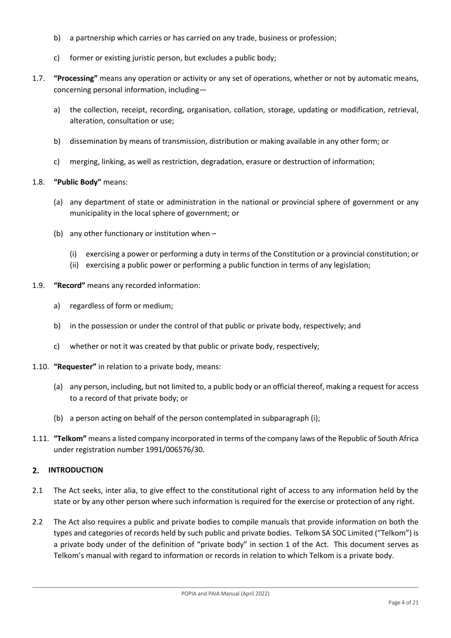- b) a partnership which carries or has carried on any trade, business or profession;
- c) former or existing juristic person, but excludes a public body;
- 1.7. **"Processing"** means any operation or activity or any set of operations, whether or not by automatic means, concerning personal information, including
	- a) the collection, receipt, recording, organisation, collation, storage, updating or modification, retrieval, alteration, consultation or use;
	- b) dissemination by means of transmission, distribution or making available in any other form; or
	- c) merging, linking, as well as restriction, degradation, erasure or destruction of information;

## 1.8. **"Public Body"** means:

- (a) any department of state or administration in the national or provincial sphere of government or any municipality in the local sphere of government; or
- (b) any other functionary or institution when
	- (i) exercising a power or performing a duty in terms of the Constitution or a provincial constitution; or
	- (ii) exercising a public power or performing a public function in terms of any legislation;
- 1.9. **"Record"** means any recorded information:
	- a) regardless of form or medium;
	- b) in the possession or under the control of that public or private body, respectively; and
	- c) whether or not it was created by that public or private body, respectively;
- 1.10. **"Requester"** in relation to a private body, means:
	- (a) any person, including, but not limited to, a public body or an official thereof, making a request for access to a record of that private body; or
	- (b) a person acting on behalf of the person contemplated in subparagraph (i);
- 1.11. **"Telkom"** means a listed company incorporated in terms of the company laws of the Republic of South Africa under registration number 1991/006576/30.

#### <span id="page-3-0"></span> $2.$ **INTRODUCTION**

- 2.1 The Act seeks, inter alia, to give effect to the constitutional right of access to any information held by the state or by any other person where such information is required for the exercise or protection of any right.
- 2.2 The Act also requires a public and private bodies to compile manuals that provide information on both the types and categories of records held by such public and private bodies. Telkom SA SOC Limited ("Telkom") is a private body under of the definition of "private body" in section 1 of the Act. This document serves as Telkom's manual with regard to information or records in relation to which Telkom is a private body.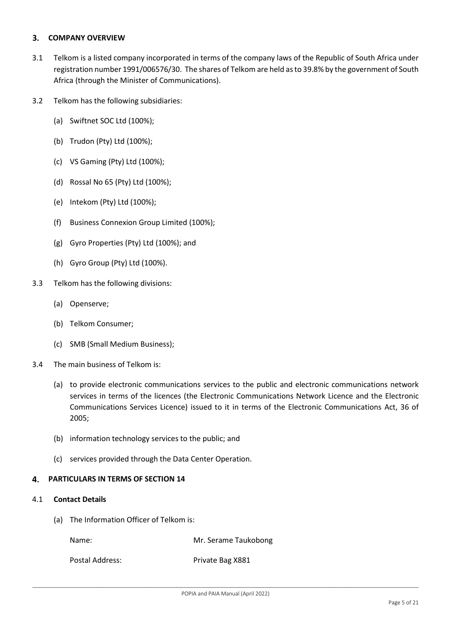#### <span id="page-4-0"></span>3. **COMPANY OVERVIEW**

- 3.1 Telkom is a listed company incorporated in terms of the company laws of the Republic of South Africa under registration number 1991/006576/30. The shares of Telkom are held as to 39.8% by the government of South Africa (through the Minister of Communications).
- 3.2 Telkom has the following subsidiaries:
	- (a) Swiftnet SOC Ltd (100%);
	- (b) Trudon (Pty) Ltd (100%);
	- (c) VS Gaming (Pty) Ltd (100%);
	- (d) Rossal No 65 (Pty) Ltd (100%);
	- (e) Intekom (Pty) Ltd (100%);
	- (f) Business Connexion Group Limited (100%);
	- (g) Gyro Properties (Pty) Ltd (100%); and
	- (h) Gyro Group (Pty) Ltd (100%).
- 3.3 Telkom has the following divisions:
	- (a) Openserve;
	- (b) Telkom Consumer;
	- (c) SMB (Small Medium Business);
- 3.4 The main business of Telkom is:
	- (a) to provide electronic communications services to the public and electronic communications network services in terms of the licences (the Electronic Communications Network Licence and the Electronic Communications Services Licence) issued to it in terms of the Electronic Communications Act, 36 of 2005;
	- (b) information technology services to the public; and
	- (c) services provided through the Data Center Operation.

#### <span id="page-4-1"></span>**PARTICULARS IN TERMS OF SECTION 14**  $\mathbf{A}$

## <span id="page-4-2"></span>4.1 **Contact Details**

(a) The Information Officer of Telkom is:

Name: Name: Name: Name: Name: Name: Name: Name: Name Taukobong

Postal Address: Private Bag X881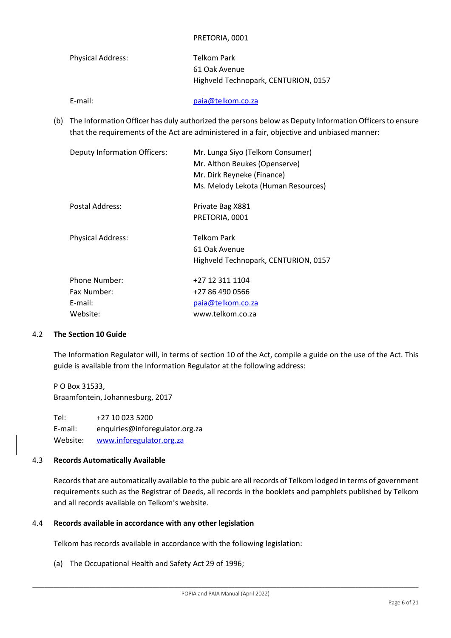#### PRETORIA, 0001

| Physical Address: | Telkom Park                          |
|-------------------|--------------------------------------|
|                   | 61 Oak Avenue                        |
|                   | Highveld Technopark, CENTURION, 0157 |

E-mail: [paia@telkom.co.za](mailto:paia@telkom.co.za)

(b) The Information Officer has duly authorized the persons below as Deputy Information Officersto ensure that the requirements of the Act are administered in a fair, objective and unbiased manner:

| Mr. Lunga Siyo (Telkom Consumer)<br>Mr. Althon Beukes (Openserve)<br>Mr. Dirk Reyneke (Finance)<br>Ms. Melody Lekota (Human Resources) |
|----------------------------------------------------------------------------------------------------------------------------------------|
| Private Bag X881<br>PRETORIA, 0001                                                                                                     |
| Telkom Park<br>61 Oak Avenue<br>Highveld Technopark, CENTURION, 0157                                                                   |
| +27 12 311 1104<br>+27 86 490 0566<br>paia@telkom.co.za<br>www.telkom.co.za                                                            |
|                                                                                                                                        |

#### 4.2 **The Section 10 Guide**

The Information Regulator will, in terms of section 10 of the Act, compile a guide on the use of the Act. This guide is available from the Information Regulator at the following address:

P O Box 31533, Braamfontein, Johannesburg, 2017

Tel: +27 10 023 5200 E-mail: [enquiries@inforegulator.org.za](mailto:enquiries@inforegulator.org.za) Website: [www.inforegulator.org.za](http://www.inforegulator.org.za/)

#### 4.3 **Records Automatically Available**

Records that are automatically available to the pubic are all records of Telkom lodged in terms of government requirements such as the Registrar of Deeds, all records in the booklets and pamphlets published by Telkom and all records available on Telkom's website.

#### 4.4 **Records available in accordance with any other legislation**

Telkom has records available in accordance with the following legislation:

(a) The Occupational Health and Safety Act 29 of 1996;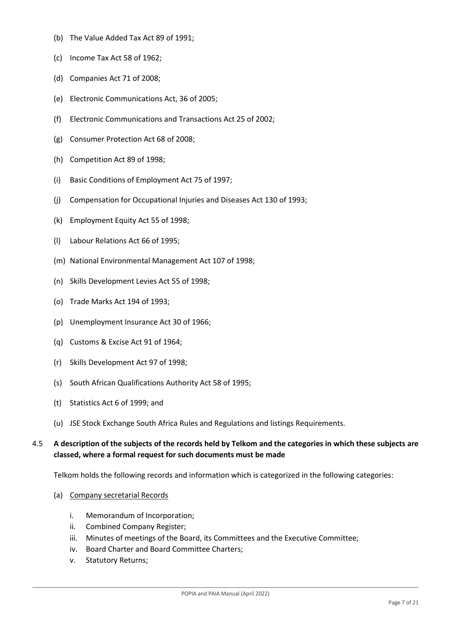- (b) The Value Added Tax Act 89 of 1991;
- (c) Income Tax Act 58 of 1962;
- (d) Companies Act 71 of 2008;
- (e) Electronic Communications Act, 36 of 2005;
- (f) Electronic Communications and Transactions Act 25 of 2002;
- (g) Consumer Protection Act 68 of 2008;
- (h) Competition Act 89 of 1998;
- (i) Basic Conditions of Employment Act 75 of 1997;
- (j) Compensation for Occupational Injuries and Diseases Act 130 of 1993;
- (k) Employment Equity Act 55 of 1998;
- (l) Labour Relations Act 66 of 1995;
- (m) National Environmental Management Act 107 of 1998;
- (n) Skills Development Levies Act 55 of 1998;
- (o) Trade Marks Act 194 of 1993;
- (p) Unemployment Insurance Act 30 of 1966;
- (q) Customs & Excise Act 91 of 1964;
- (r) Skills Development Act 97 of 1998;
- (s) South African Qualifications Authority Act 58 of 1995;
- (t) Statistics Act 6 of 1999; and
- (u) JSE Stock Exchange South Africa Rules and Regulations and listings Requirements.

## 4.5 **A description of the subjects of the records held by Telkom and the categories in which these subjects are classed, where a formal request for such documents must be made**

Telkom holds the following records and information which is categorized in the following categories:

- (a) Company secretarial Records
	- i. Memorandum of Incorporation;
	- ii. Combined Company Register;
	- iii. Minutes of meetings of the Board, its Committees and the Executive Committee;
	- iv. Board Charter and Board Committee Charters;
	- v. Statutory Returns;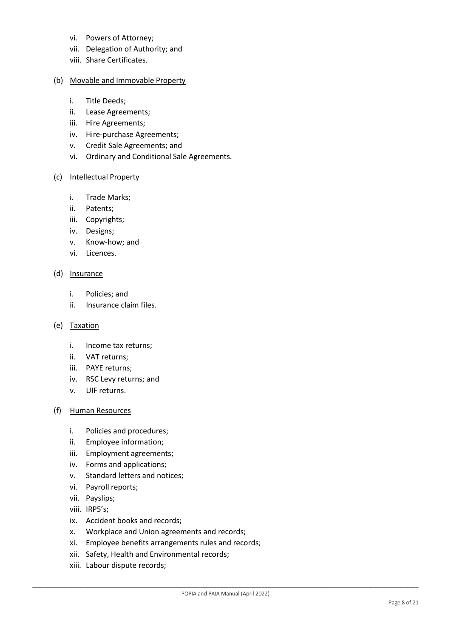- vi. Powers of Attorney;
- vii. Delegation of Authority; and
- viii. Share Certificates.

### (b) Movable and Immovable Property

- i. Title Deeds;
- ii. Lease Agreements;
- iii. Hire Agreements;
- iv. Hire-purchase Agreements;
- v. Credit Sale Agreements; and
- vi. Ordinary and Conditional Sale Agreements.

#### (c) Intellectual Property

- i. Trade Marks;
- ii. Patents;
- iii. Copyrights;
- iv. Designs;
- v. Know-how; and
- vi. Licences.

#### (d) Insurance

- i. Policies; and
- ii. Insurance claim files.

#### (e) Taxation

- i. Income tax returns;
- ii. VAT returns;
- iii. PAYE returns;
- iv. RSC Levy returns; and
- v. UIF returns.

#### (f) Human Resources

- i. Policies and procedures;
- ii. Employee information;
- iii. Employment agreements;
- iv. Forms and applications;
- v. Standard letters and notices;
- vi. Payroll reports;
- vii. Payslips;
- viii. IRP5's;
- ix. Accident books and records;
- x. Workplace and Union agreements and records;
- xi. Employee benefits arrangements rules and records;
- xii. Safety, Health and Environmental records;
- xiii. Labour dispute records;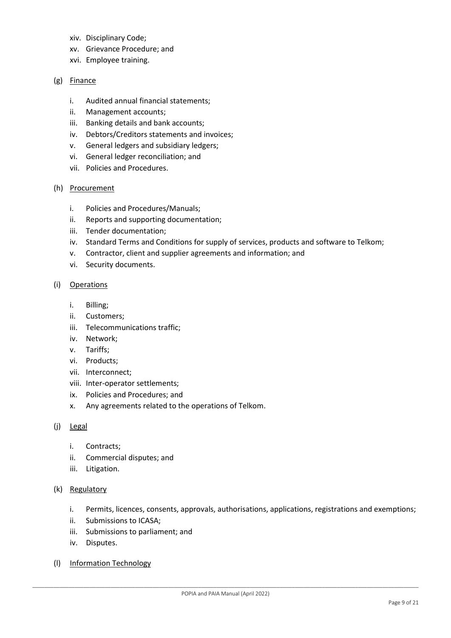- xiv. Disciplinary Code;
- xv. Grievance Procedure; and
- xvi. Employee training.

### (g) Finance

- i. Audited annual financial statements;
- ii. Management accounts;
- iii. Banking details and bank accounts;
- iv. Debtors/Creditors statements and invoices;
- v. General ledgers and subsidiary ledgers;
- vi. General ledger reconciliation; and
- vii. Policies and Procedures.

#### (h) Procurement

- i. Policies and Procedures/Manuals;
- ii. Reports and supporting documentation;
- iii. Tender documentation;
- iv. Standard Terms and Conditions for supply of services, products and software to Telkom;
- v. Contractor, client and supplier agreements and information; and
- vi. Security documents.
- (i) Operations
	- i. Billing;
	- ii. Customers;
	- iii. Telecommunications traffic;
	- iv. Network;
	- v. Tariffs;
	- vi. Products;
	- vii. Interconnect;
	- viii. Inter-operator settlements;
	- ix. Policies and Procedures; and
	- x. Any agreements related to the operations of Telkom.
- (j) Legal
	- i. Contracts;
	- ii. Commercial disputes; and
	- iii. Litigation.
- (k) Regulatory
	- i. Permits, licences, consents, approvals, authorisations, applications, registrations and exemptions;
	- ii. Submissions to ICASA;
	- iii. Submissions to parliament; and
	- iv. Disputes.
- (l) Information Technology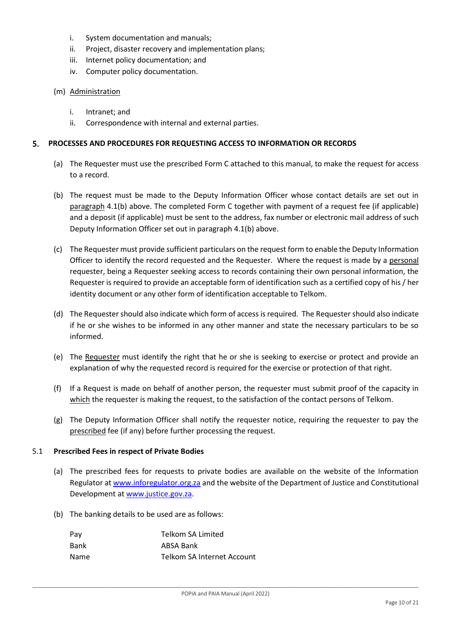- i. System documentation and manuals;
- ii. Project, disaster recovery and implementation plans;
- iii. Internet policy documentation; and
- iv. Computer policy documentation.

#### (m) Administration

- i. Intranet; and
- ii. Correspondence with internal and external parties.

#### <span id="page-9-0"></span>**PROCESSES AND PROCEDURES FOR REQUESTING ACCESS TO INFORMATION OR RECORDS** 5.

- (a) The Requester must use the prescribed Form C attached to this manual, to make the request for access to a record.
- (b) The request must be made to the Deputy Information Officer whose contact details are set out in paragraph [4.1\(](#page-4-2)b) above. The completed Form C together with payment of a request fee (if applicable) and a deposit (if applicable) must be sent to the address, fax number or electronic mail address of such Deputy Information Officer set out in paragraph [4.1\(](#page-4-2)b) above.
- (c) The Requester must provide sufficient particulars on the request form to enable the Deputy Information Officer to identify the record requested and the Requester. Where the request is made by a personal requester, being a Requester seeking access to records containing their own personal information, the Requester is required to provide an acceptable form of identification such as a certified copy of his / her identity document or any other form of identification acceptable to Telkom.
- (d) The Requester should also indicate which form of access is required. The Requester should also indicate if he or she wishes to be informed in any other manner and state the necessary particulars to be so informed.
- (e) The Requester must identify the right that he or she is seeking to exercise or protect and provide an explanation of why the requested record is required for the exercise or protection of that right.
- (f) If a Request is made on behalf of another person, the requester must submit proof of the capacity in which the requester is making the request, to the satisfaction of the contact persons of Telkom.
- (g) The Deputy Information Officer shall notify the requester notice, requiring the requester to pay the prescribed fee (if any) before further processing the request.

#### 5.1 **Prescribed Fees in respect of Private Bodies**

- (a) The prescribed fees for requests to private bodies are available on the website of the Information Regulator at [www.inforegulator.org.za](http://www.justice.gov.za/inforeg/) and the website of the Department of Justice and Constitutional Development at [www.justice.gov.za.](http://www.justice.gov.za/)
- (b) The banking details to be used are as follows:

| Telkom SA Limited          |
|----------------------------|
| ABSA Bank                  |
| Telkom SA Internet Account |
|                            |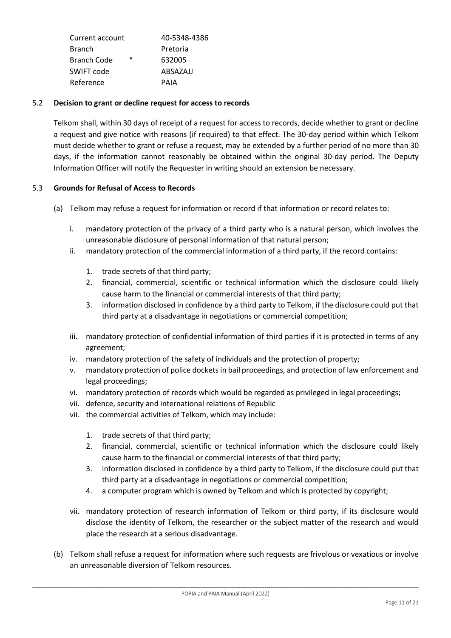|        | 40-5348-4386 |
|--------|--------------|
|        | Pretoria     |
| $\ast$ | 632005       |
|        | ABSAZAJJ     |
|        | PAIA         |
|        |              |

## 5.2 **Decision to grant or decline request for access to records**

Telkom shall, within 30 days of receipt of a request for access to records, decide whether to grant or decline a request and give notice with reasons (if required) to that effect. The 30-day period within which Telkom must decide whether to grant or refuse a request, may be extended by a further period of no more than 30 days, if the information cannot reasonably be obtained within the original 30-day period. The Deputy Information Officer will notify the Requester in writing should an extension be necessary.

### 5.3 **Grounds for Refusal of Access to Records**

- (a) Telkom may refuse a request for information or record if that information or record relates to:
	- i. mandatory protection of the privacy of a third party who is a natural person, which involves the unreasonable disclosure of personal information of that natural person;
	- ii. mandatory protection of the commercial information of a third party, if the record contains:
		- 1. trade secrets of that third party;
		- 2. financial, commercial, scientific or technical information which the disclosure could likely cause harm to the financial or commercial interests of that third party;
		- 3. information disclosed in confidence by a third party to Telkom, if the disclosure could put that third party at a disadvantage in negotiations or commercial competition;
	- iii. mandatory protection of confidential information of third parties if it is protected in terms of any agreement;
	- iv. mandatory protection of the safety of individuals and the protection of property;
	- v. mandatory protection of police dockets in bail proceedings, and protection of law enforcement and legal proceedings;
	- vi. mandatory protection of records which would be regarded as privileged in legal proceedings;
	- vii. defence, security and international relations of Republic
	- vii. the commercial activities of Telkom, which may include:
		- 1. trade secrets of that third party;
		- 2. financial, commercial, scientific or technical information which the disclosure could likely cause harm to the financial or commercial interests of that third party;
		- 3. information disclosed in confidence by a third party to Telkom, if the disclosure could put that third party at a disadvantage in negotiations or commercial competition;
		- 4. a computer program which is owned by Telkom and which is protected by copyright;
	- vii. mandatory protection of research information of Telkom or third party, if its disclosure would disclose the identity of Telkom, the researcher or the subject matter of the research and would place the research at a serious disadvantage.
- (b) Telkom shall refuse a request for information where such requests are frivolous or vexatious or involve an unreasonable diversion of Telkom resources.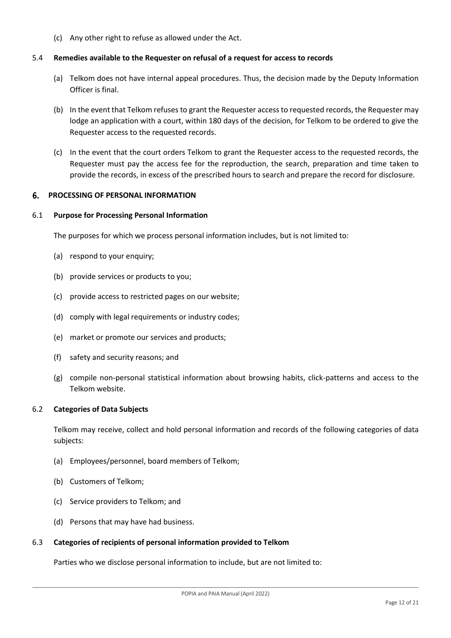(c) Any other right to refuse as allowed under the Act.

#### 5.4 **Remedies available to the Requester on refusal of a request for access to records**

- (a) Telkom does not have internal appeal procedures. Thus, the decision made by the Deputy Information Officer is final.
- (b) In the event that Telkom refuses to grant the Requester access to requested records, the Requester may lodge an application with a court, within 180 days of the decision, for Telkom to be ordered to give the Requester access to the requested records.
- (c) In the event that the court orders Telkom to grant the Requester access to the requested records, the Requester must pay the access fee for the reproduction, the search, preparation and time taken to provide the records, in excess of the prescribed hours to search and prepare the record for disclosure.

#### <span id="page-11-0"></span>**PROCESSING OF PERSONAL INFORMATION** 6.

#### 6.1 **Purpose for Processing Personal Information**

The purposes for which we process personal information includes, but is not limited to:

- (a) respond to your enquiry;
- (b) provide services or products to you;
- (c) provide access to restricted pages on our website;
- (d) comply with legal requirements or industry codes;
- (e) market or promote our services and products;
- (f) safety and security reasons; and
- (g) compile non-personal statistical information about browsing habits, click-patterns and access to the Telkom website.

#### 6.2 **Categories of Data Subjects**

Telkom may receive, collect and hold personal information and records of the following categories of data subjects:

- (a) Employees/personnel, board members of Telkom;
- (b) Customers of Telkom;
- (c) Service providers to Telkom; and
- (d) Persons that may have had business.

#### 6.3 **Categories of recipients of personal information provided to Telkom**

Parties who we disclose personal information to include, but are not limited to: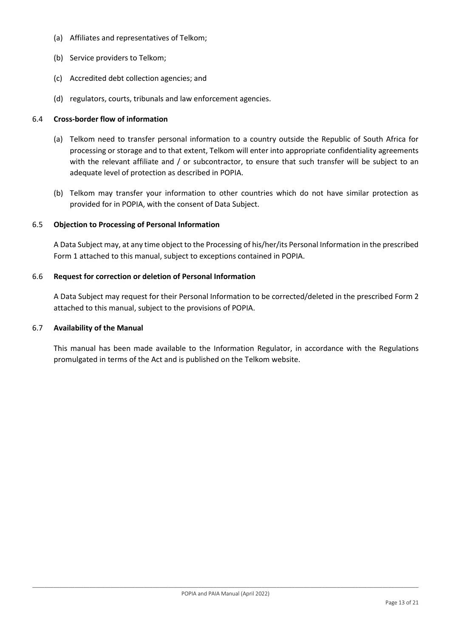- (a) Affiliates and representatives of Telkom;
- (b) Service providers to Telkom;
- (c) Accredited debt collection agencies; and
- (d) regulators, courts, tribunals and law enforcement agencies.

#### 6.4 **Cross-border flow of information**

- (a) Telkom need to transfer personal information to a country outside the Republic of South Africa for processing or storage and to that extent, Telkom will enter into appropriate confidentiality agreements with the relevant affiliate and / or subcontractor, to ensure that such transfer will be subject to an adequate level of protection as described in POPIA.
- (b) Telkom may transfer your information to other countries which do not have similar protection as provided for in POPIA, with the consent of Data Subject.

### 6.5 **Objection to Processing of Personal Information**

A Data Subject may, at any time object to the Processing of his/her/its Personal Information in the prescribed Form 1 attached to this manual, subject to exceptions contained in POPIA.

#### 6.6 **Request for correction or deletion of Personal Information**

A Data Subject may request for their Personal Information to be corrected/deleted in the prescribed Form 2 attached to this manual, subject to the provisions of POPIA.

#### 6.7 **Availability of the Manual**

This manual has been made available to the Information Regulator, in accordance with the Regulations promulgated in terms of the Act and is published on the Telkom website.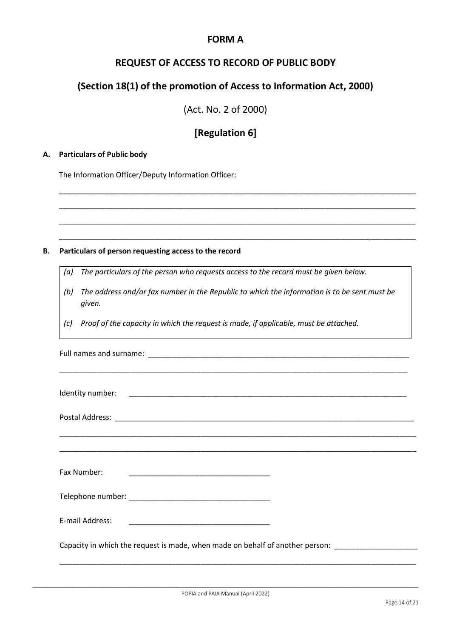# **FORM A**

# **REQUEST OF ACCESS TO RECORD OF PUBLIC BODY**

# **(Section 18(1) of the promotion of Access to Information Act, 2000)**

(Act. No. 2 of 2000)

# **[Regulation 6]**

\_\_\_\_\_\_\_\_\_\_\_\_\_\_\_\_\_\_\_\_\_\_\_\_\_\_\_\_\_\_\_\_\_\_\_\_\_\_\_\_\_\_\_\_\_\_\_\_\_\_\_\_\_\_\_\_\_\_\_\_\_\_\_\_\_\_\_\_\_\_\_\_\_\_\_\_\_\_\_\_\_\_\_\_\_\_

\_\_\_\_\_\_\_\_\_\_\_\_\_\_\_\_\_\_\_\_\_\_\_\_\_\_\_\_\_\_\_\_\_\_\_\_\_\_\_\_\_\_\_\_\_\_\_\_\_\_\_\_\_\_\_\_\_\_\_\_\_\_\_\_\_\_\_\_\_\_\_\_\_\_\_\_\_\_\_\_\_\_\_\_\_\_

\_\_\_\_\_\_\_\_\_\_\_\_\_\_\_\_\_\_\_\_\_\_\_\_\_\_\_\_\_\_\_\_\_\_\_\_\_\_\_\_\_\_\_\_\_\_\_\_\_\_\_\_\_\_\_\_\_\_\_\_\_\_\_\_\_\_\_\_\_\_\_\_\_\_\_\_\_\_\_\_\_\_\_\_\_\_

\_\_\_\_\_\_\_\_\_\_\_\_\_\_\_\_\_\_\_\_\_\_\_\_\_\_\_\_\_\_\_\_\_\_\_\_\_\_\_\_\_\_\_\_\_\_\_\_\_\_\_\_\_\_\_\_\_\_\_\_\_\_\_\_\_\_\_\_\_\_\_\_\_\_\_\_\_\_\_\_\_\_\_\_\_\_

## **A. Particulars of Public body**

The Information Officer/Deputy Information Officer:

#### **B. Particulars of person requesting access to the record**

- *(a) The particulars of the person who requests access to the record must be given below.*
- *(b) The address and/or fax number in the Republic to which the information is to be sent must be given.*
- *(c) Proof of the capacity in which the request is made, if applicable, must be attached.*

| <u>,这就是一个人的人,我们就是一个人的人,我们就是一个人的人,我们就是一个人的人,我们就是一个人的人,我们就是一个人的人,我们就是一个人的人,我们就是</u> |  |
|-----------------------------------------------------------------------------------|--|
| Fax Number:                                                                       |  |
|                                                                                   |  |
| E-mail Address:                                                                   |  |
| Capacity in which the request is made, when made on behalf of another person:     |  |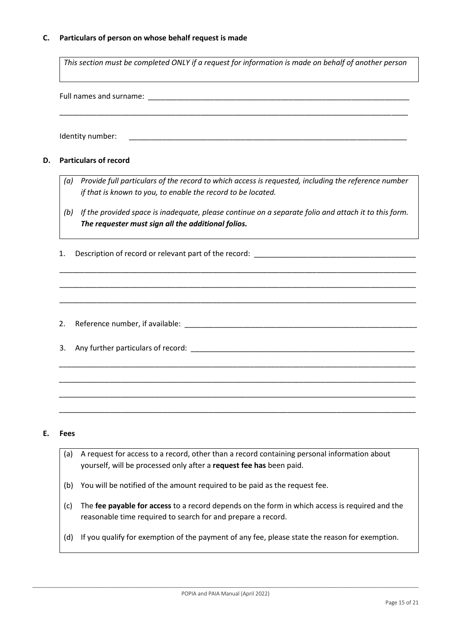### **C. Particulars of person on whose behalf request is made**

*This section must be completed ONLY if a request for information is made on behalf of another person*

\_\_\_\_\_\_\_\_\_\_\_\_\_\_\_\_\_\_\_\_\_\_\_\_\_\_\_\_\_\_\_\_\_\_\_\_\_\_\_\_\_\_\_\_\_\_\_\_\_\_\_\_\_\_\_\_\_\_\_\_\_\_\_\_\_\_\_\_\_\_\_\_\_\_\_\_\_\_\_\_\_\_\_\_

Full names and surname:  $\Box$ 

Identity number:

#### **D. Particulars of record**

- *(a) Provide full particulars of the record to which access is requested, including the reference number if that is known to you, to enable the record to be located.*
- *(b) If the provided space is inadequate, please continue on a separate folio and attach it to this form. The requester must sign all the additional folios.*

\_\_\_\_\_\_\_\_\_\_\_\_\_\_\_\_\_\_\_\_\_\_\_\_\_\_\_\_\_\_\_\_\_\_\_\_\_\_\_\_\_\_\_\_\_\_\_\_\_\_\_\_\_\_\_\_\_\_\_\_\_\_\_\_\_\_\_\_\_\_\_\_\_\_\_\_\_\_\_\_\_\_\_\_\_\_

\_\_\_\_\_\_\_\_\_\_\_\_\_\_\_\_\_\_\_\_\_\_\_\_\_\_\_\_\_\_\_\_\_\_\_\_\_\_\_\_\_\_\_\_\_\_\_\_\_\_\_\_\_\_\_\_\_\_\_\_\_\_\_\_\_\_\_\_\_\_\_\_\_\_\_\_\_\_\_\_\_\_\_\_\_\_

\_\_\_\_\_\_\_\_\_\_\_\_\_\_\_\_\_\_\_\_\_\_\_\_\_\_\_\_\_\_\_\_\_\_\_\_\_\_\_\_\_\_\_\_\_\_\_\_\_\_\_\_\_\_\_\_\_\_\_\_\_\_\_\_\_\_\_\_\_\_\_\_\_\_\_\_\_\_\_\_\_\_\_\_\_\_

\_\_\_\_\_\_\_\_\_\_\_\_\_\_\_\_\_\_\_\_\_\_\_\_\_\_\_\_\_\_\_\_\_\_\_\_\_\_\_\_\_\_\_\_\_\_\_\_\_\_\_\_\_\_\_\_\_\_\_\_\_\_\_\_\_\_\_\_\_\_\_\_\_\_\_\_\_\_\_\_\_\_\_\_\_\_

\_\_\_\_\_\_\_\_\_\_\_\_\_\_\_\_\_\_\_\_\_\_\_\_\_\_\_\_\_\_\_\_\_\_\_\_\_\_\_\_\_\_\_\_\_\_\_\_\_\_\_\_\_\_\_\_\_\_\_\_\_\_\_\_\_\_\_\_\_\_\_\_\_\_\_\_\_\_\_\_\_\_\_\_\_\_

\_\_\_\_\_\_\_\_\_\_\_\_\_\_\_\_\_\_\_\_\_\_\_\_\_\_\_\_\_\_\_\_\_\_\_\_\_\_\_\_\_\_\_\_\_\_\_\_\_\_\_\_\_\_\_\_\_\_\_\_\_\_\_\_\_\_\_\_\_\_\_\_\_\_\_\_\_\_\_\_\_\_\_\_\_\_

\_\_\_\_\_\_\_\_\_\_\_\_\_\_\_\_\_\_\_\_\_\_\_\_\_\_\_\_\_\_\_\_\_\_\_\_\_\_\_\_\_\_\_\_\_\_\_\_\_\_\_\_\_\_\_\_\_\_\_\_\_\_\_\_\_\_\_\_\_\_\_\_\_\_\_\_\_\_\_\_\_\_\_\_\_\_

- 1. Description of record or relevant part of the record:
- 2. Reference number, if available: \_\_\_\_\_\_\_\_\_\_\_\_\_\_\_\_\_\_\_\_\_\_\_\_\_\_\_\_\_\_\_\_\_\_\_\_\_\_\_\_\_\_\_\_\_\_\_\_\_\_\_\_\_\_\_\_
- 3. Any further particulars of record:

#### **E. Fees**

- (a) A request for access to a record, other than a record containing personal information about yourself, will be processed only after a **request fee has** been paid.
- (b) You will be notified of the amount required to be paid as the request fee.
- (c) The **fee payable for access** to a record depends on the form in which access is required and the reasonable time required to search for and prepare a record.
- (d) If you qualify for exemption of the payment of any fee, please state the reason for exemption.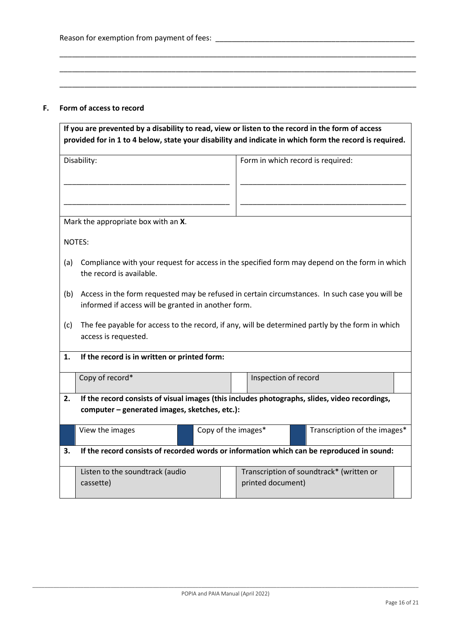#### **F. Form of access to record**

|     | If you are prevented by a disability to read, view or listen to the record in the form of access                                               |                      |                                                                                                        |
|-----|------------------------------------------------------------------------------------------------------------------------------------------------|----------------------|--------------------------------------------------------------------------------------------------------|
|     |                                                                                                                                                |                      | provided for in 1 to 4 below, state your disability and indicate in which form the record is required. |
|     | Disability:                                                                                                                                    |                      | Form in which record is required:                                                                      |
|     | Mark the appropriate box with an X.                                                                                                            |                      |                                                                                                        |
|     | NOTES:                                                                                                                                         |                      |                                                                                                        |
| (a) | the record is available.                                                                                                                       |                      | Compliance with your request for access in the specified form may depend on the form in which          |
| (b) | informed if access will be granted in another form.                                                                                            |                      | Access in the form requested may be refused in certain circumstances. In such case you will be         |
| (c) | access is requested.                                                                                                                           |                      | The fee payable for access to the record, if any, will be determined partly by the form in which       |
| 1.  | If the record is in written or printed form:                                                                                                   |                      |                                                                                                        |
|     | Copy of record*                                                                                                                                | Inspection of record |                                                                                                        |
| 2.  | If the record consists of visual images (this includes photographs, slides, video recordings,<br>computer - generated images, sketches, etc.): |                      |                                                                                                        |
|     | View the images                                                                                                                                | Copy of the images*  | Transcription of the images*                                                                           |
| 3.  | If the record consists of recorded words or information which can be reproduced in sound:                                                      |                      |                                                                                                        |
|     | Listen to the soundtrack (audio<br>cassette)                                                                                                   | printed document)    | Transcription of soundtrack* (written or                                                               |

\_\_\_\_\_\_\_\_\_\_\_\_\_\_\_\_\_\_\_\_\_\_\_\_\_\_\_\_\_\_\_\_\_\_\_\_\_\_\_\_\_\_\_\_\_\_\_\_\_\_\_\_\_\_\_\_\_\_\_\_\_\_\_\_\_\_\_\_\_\_\_\_\_\_\_\_\_\_\_\_\_\_\_\_\_\_

\_\_\_\_\_\_\_\_\_\_\_\_\_\_\_\_\_\_\_\_\_\_\_\_\_\_\_\_\_\_\_\_\_\_\_\_\_\_\_\_\_\_\_\_\_\_\_\_\_\_\_\_\_\_\_\_\_\_\_\_\_\_\_\_\_\_\_\_\_\_\_\_\_\_\_\_\_\_\_\_\_\_\_\_\_\_

\_\_\_\_\_\_\_\_\_\_\_\_\_\_\_\_\_\_\_\_\_\_\_\_\_\_\_\_\_\_\_\_\_\_\_\_\_\_\_\_\_\_\_\_\_\_\_\_\_\_\_\_\_\_\_\_\_\_\_\_\_\_\_\_\_\_\_\_\_\_\_\_\_\_\_\_\_\_\_\_\_\_\_\_\_\_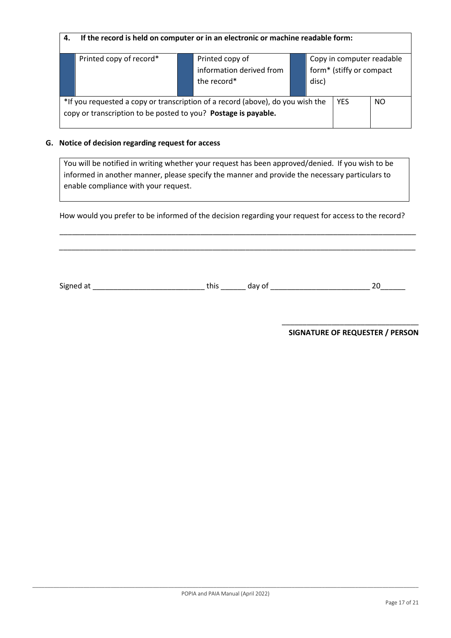| 4. | If the record is held on computer or in an electronic or machine readable form:                                                                  |                                                            |       |                                                       |     |
|----|--------------------------------------------------------------------------------------------------------------------------------------------------|------------------------------------------------------------|-------|-------------------------------------------------------|-----|
|    | Printed copy of record*                                                                                                                          | Printed copy of<br>information derived from<br>the record* | disc) | Copy in computer readable<br>form* (stiffy or compact |     |
|    | *If you requested a copy or transcription of a record (above), do you wish the<br>copy or transcription to be posted to you? Postage is payable. |                                                            |       | <b>YES</b>                                            | NO. |

## **G. Notice of decision regarding request for access**

You will be notified in writing whether your request has been approved/denied. If you wish to be informed in another manner, please specify the manner and provide the necessary particulars to enable compliance with your request.

How would you prefer to be informed of the decision regarding your request for access to the record?

\_\_\_\_\_\_\_\_\_\_\_\_\_\_\_\_\_\_\_\_\_\_\_\_\_\_\_\_\_\_\_\_\_\_\_\_\_\_\_\_\_\_\_\_\_\_\_\_\_\_\_\_\_\_\_\_\_\_\_\_\_\_\_\_\_\_\_\_\_\_\_\_\_\_\_\_\_\_\_\_\_\_\_\_\_\_

\_\_\_\_\_\_\_\_\_\_\_\_\_\_\_\_\_\_\_\_\_\_\_\_\_\_\_\_\_\_\_\_\_\_\_\_\_\_\_\_\_\_\_\_\_\_\_\_\_\_\_\_\_\_\_\_\_\_\_\_\_\_\_\_\_\_\_\_\_\_\_\_\_\_\_\_\_\_\_\_\_\_\_\_\_\_

Signed at \_\_\_\_\_\_\_\_\_\_\_\_\_\_\_\_\_\_\_\_\_\_\_\_\_\_\_ this \_\_\_\_\_\_ day of \_\_\_\_\_\_\_\_\_\_\_\_\_\_\_\_\_\_\_\_\_\_\_\_ 20\_\_\_\_\_\_

\_\_\_\_\_\_\_\_\_\_\_\_\_\_\_\_\_\_\_\_\_\_\_\_\_\_\_\_\_\_\_\_\_ **SIGNATURE OF REQUESTER / PERSON**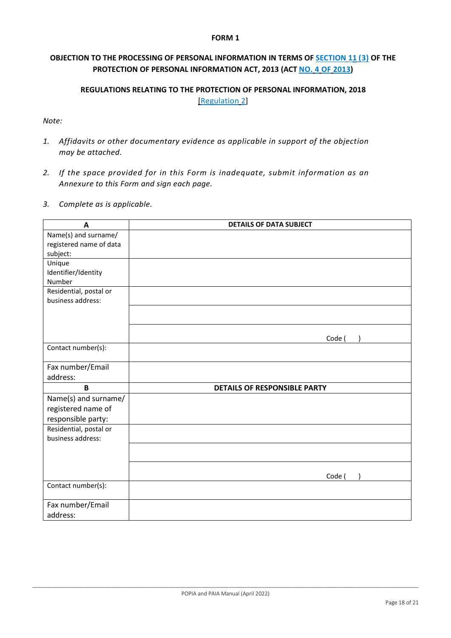### **FORM 1**

# **OBJECTION TO THE PROCESSING OF PERSONAL INFORMATION IN TERMS OF SECTION 11 (3) OF THE PROTECTION OF PERSONAL INFORMATION ACT, 2013 (ACT NO. 4 OF 2013)**

# **REGULATIONS RELATING TO THE PROTECTION OF PERSONAL INFORMATION, 2018** [Regulation 2]

### *Note:*

- *1. Affidavits or other documentary evidence as applicable in support of the objection may be attached.*
- *2. If the space provided for in this Form is inadequate, submit information as an Annexure to this Form and sign each page.*
- *3. Complete as is applicable.*

| A                       | <b>DETAILS OF DATA SUBJECT</b>      |
|-------------------------|-------------------------------------|
| Name(s) and surname/    |                                     |
| registered name of data |                                     |
| subject:                |                                     |
| Unique                  |                                     |
| Identifier/Identity     |                                     |
| Number                  |                                     |
| Residential, postal or  |                                     |
| business address:       |                                     |
|                         |                                     |
|                         |                                     |
|                         |                                     |
|                         | Code (                              |
| Contact number(s):      |                                     |
| Fax number/Email        |                                     |
| address:                |                                     |
| B                       | <b>DETAILS OF RESPONSIBLE PARTY</b> |
|                         |                                     |
| Name(s) and surname/    |                                     |
| registered name of      |                                     |
| responsible party:      |                                     |
| Residential, postal or  |                                     |
| business address:       |                                     |
|                         |                                     |
|                         |                                     |
|                         |                                     |
| Contact number(s):      | Code (                              |
|                         |                                     |
| Fax number/Email        |                                     |
| address:                |                                     |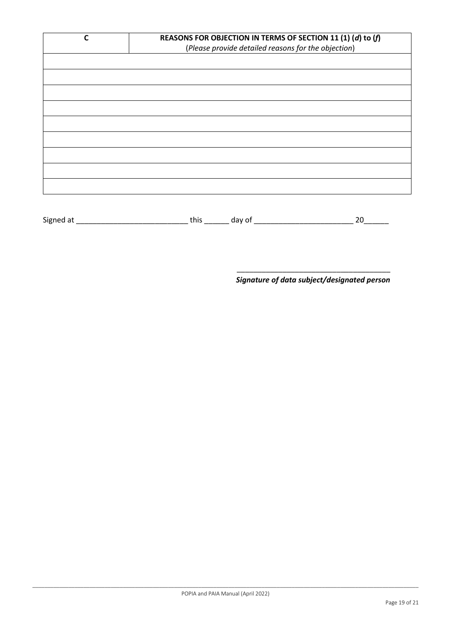| C         |                     | REASONS FOR OBJECTION IN TERMS OF SECTION 11 (1) (d) to (f)<br>(Please provide detailed reasons for the objection) |
|-----------|---------------------|--------------------------------------------------------------------------------------------------------------------|
|           |                     |                                                                                                                    |
|           |                     |                                                                                                                    |
|           |                     |                                                                                                                    |
|           |                     |                                                                                                                    |
|           |                     |                                                                                                                    |
|           |                     |                                                                                                                    |
|           |                     |                                                                                                                    |
| Signed at | this _______ day of | 20                                                                                                                 |

\_\_\_\_\_\_\_\_\_\_\_\_\_\_\_\_\_\_\_\_\_\_\_\_\_\_\_\_\_\_\_\_\_\_\_\_\_ *Signature of data subject/designated person*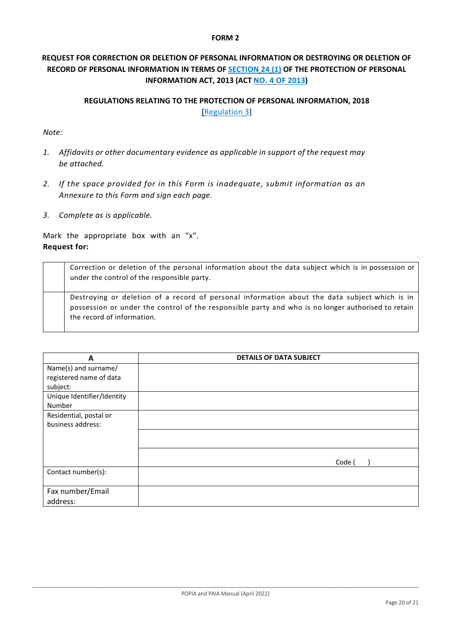### **FORM 2**

# **REQUEST FOR CORRECTION OR DELETION OF PERSONAL INFORMATION OR DESTROYING OR DELETION OF RECORD OF PERSONAL INFORMATION IN TERMS OF SECTION 24 (1) OF THE PROTECTION OF PERSONAL INFORMATION ACT, 2013 (ACT NO. 4 OF 2013)**

## **REGULATIONS RELATING TO THE PROTECTION OF PERSONAL INFORMATION, 2018** [Regulation 3]

### *Note:*

- *1. Affidavits or other documentary evidence as applicable in support of the request may be attached.*
- *2. If the space provided for in this Form is inadequate, submit information as an Annexure to this Form and sign each page.*
- *3. Complete as is applicable.*

Mark the appropriate box with an "x". **Request for:**

> Correction or deletion of the personal information about the data subject which is in possession or under the control of the responsible party.

Destroying or deletion of a record of personal information about the data subject which is in possession or under the control of the responsible party and who is no longer authorised to retain the record of information.

| A                                                           | <b>DETAILS OF DATA SUBJECT</b> |
|-------------------------------------------------------------|--------------------------------|
| Name(s) and surname/<br>registered name of data<br>subject: |                                |
| Unique Identifier/Identity<br>Number                        |                                |
| Residential, postal or<br>business address:                 |                                |
|                                                             |                                |
|                                                             | Code (                         |
| Contact number(s):                                          |                                |
| Fax number/Email<br>address:                                |                                |